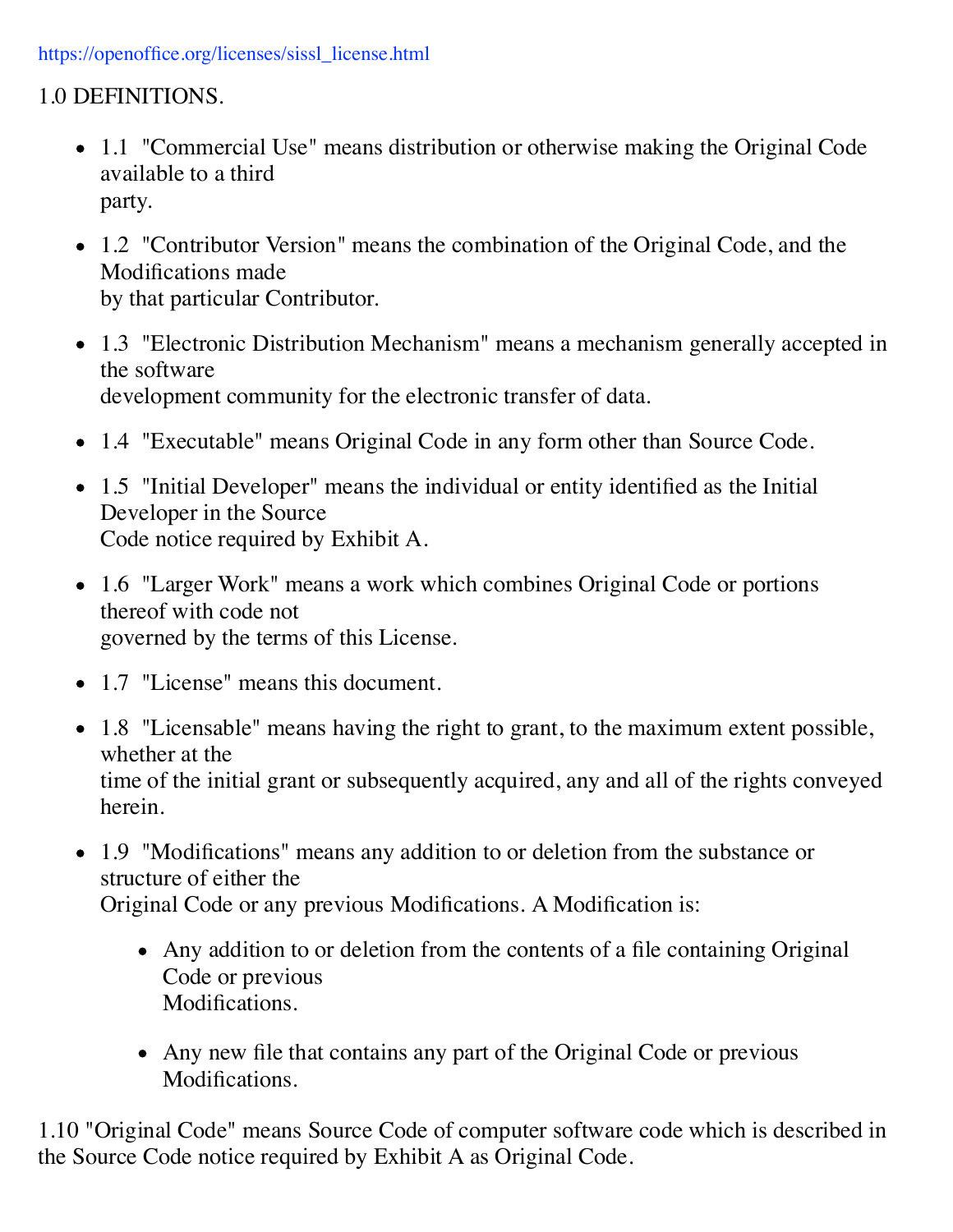#### https://openoffice.org/licenses/sissl\_license.html

### 1.0 DEFINITIONS.

- 1.1 "Commercial Use" means distribution or otherwise making the Original Code available to a third party.
- 1.2 "Contributor Version" means the combination of the Original Code, and the Modifications made by that particular Contributor.
- 1.3 "Electronic Distribution Mechanism" means a mechanism generally accepted in the software development community for the electronic transfer of data.
- 1.4 "Executable" means Original Code in any form other than Source Code.
- 1.5 "Initial Developer" means the individual or entity identified as the Initial Developer in the Source Code notice required by Exhibit A.
- 1.6 "Larger Work" means a work which combines Original Code or portions thereof with code not governed by the terms of this License.
- 1.7 "License" means this document.
- 1.8 "Licensable" means having the right to grant, to the maximum extent possible, whether at the time of the initial grant or subsequently acquired, any and all of the rights conveyed herein.
- 1.9 "Modifications" means any addition to or deletion from the substance or structure of either the Original Code or any previous Modifications. A Modification is:
	- Any addition to or deletion from the contents of a file containing Original Code or previous Modifications.
	- Any new file that contains any part of the Original Code or previous Modifications.

1.10 "Original Code" means Source Code of computer software code which is described in the Source Code notice required by Exhibit A as Original Code.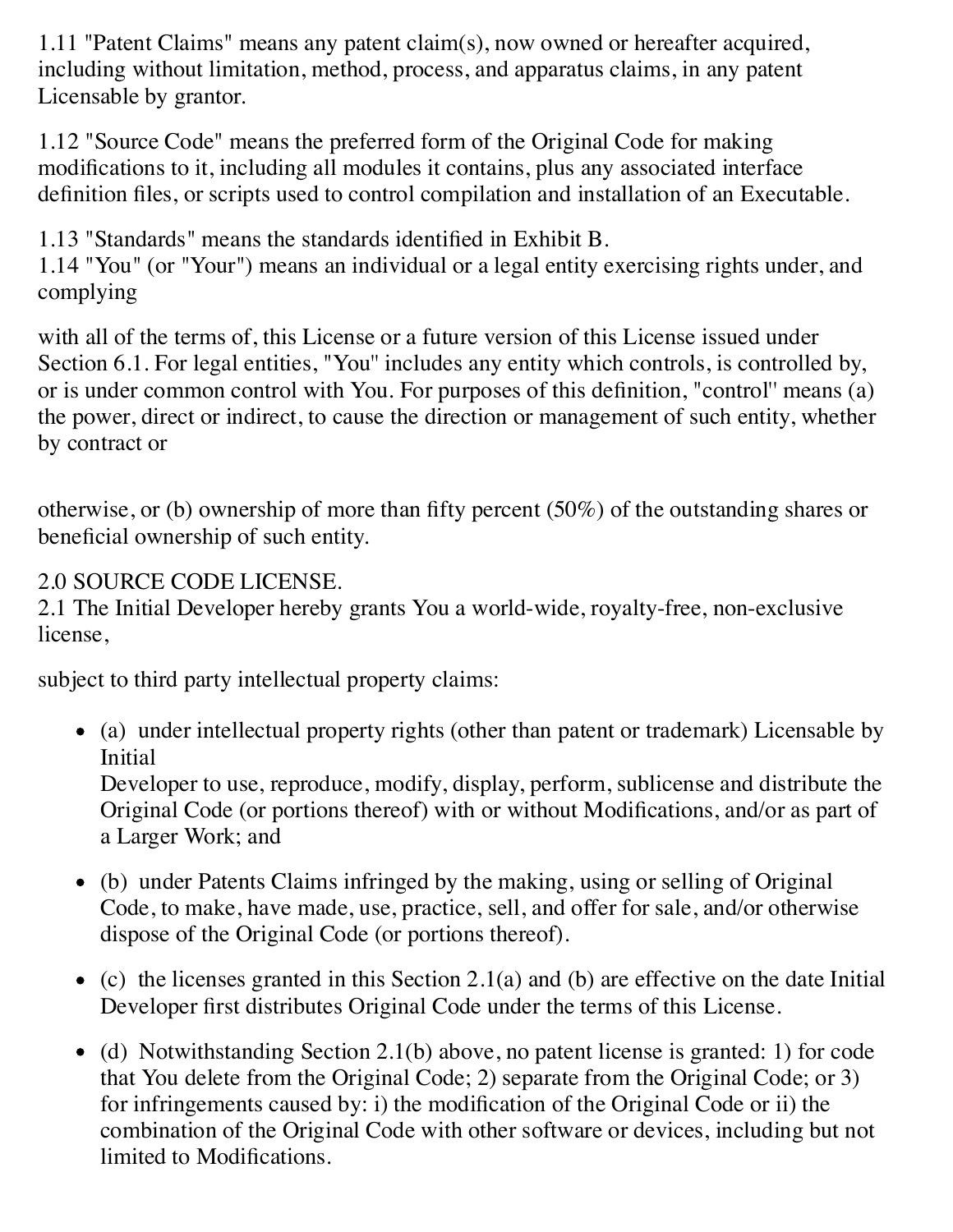1.11 "Patent Claims" means any patent claim(s), now owned or hereafter acquired, including without limitation, method, process, and apparatus claims, in any patent Licensable by grantor.

1.12 "Source Code" means the preferred form of the Original Code for making modifications to it, including all modules it contains, plus any associated interface definition files, or scripts used to control compilation and installation of an Executable.

1.13 "Standards" means the standards identified in Exhibit B.

1.14 "You" (or "Your") means an individual or a legal entity exercising rights under, and complying

with all of the terms of, this License or a future version of this License issued under Section 6.1. For legal entities, "You" includes any entity which controls, is controlled by, or is under common control with You. For purposes of this definition, "control'' means (a) the power, direct or indirect, to cause the direction or management of such entity, whether by contract or

otherwise, or (b) ownership of more than fifty percent (50%) of the outstanding shares or beneficial ownership of such entity.

### 2.0 SOURCE CODE LICENSE.

2.1 The Initial Developer hereby grants You a world-wide, royalty-free, non-exclusive license,

subject to third party intellectual property claims:

(a) under intellectual property rights (other than patent or trademark) Licensable by **Initial** 

Developer to use, reproduce, modify, display, perform, sublicense and distribute the Original Code (or portions thereof) with or without Modifications, and/or as part of a Larger Work; and

- (b) under Patents Claims infringed by the making, using or selling of Original Code, to make, have made, use, practice, sell, and offer for sale, and/or otherwise dispose of the Original Code (or portions thereof).
- $\bullet$  (c) the licenses granted in this Section 2.1(a) and (b) are effective on the date Initial Developer first distributes Original Code under the terms of this License.
- $\bullet$  (d) Notwithstanding Section 2.1(b) above, no patent license is granted: 1) for code that You delete from the Original Code; 2) separate from the Original Code; or 3) for infringements caused by: i) the modification of the Original Code or ii) the combination of the Original Code with other software or devices, including but not limited to Modifications.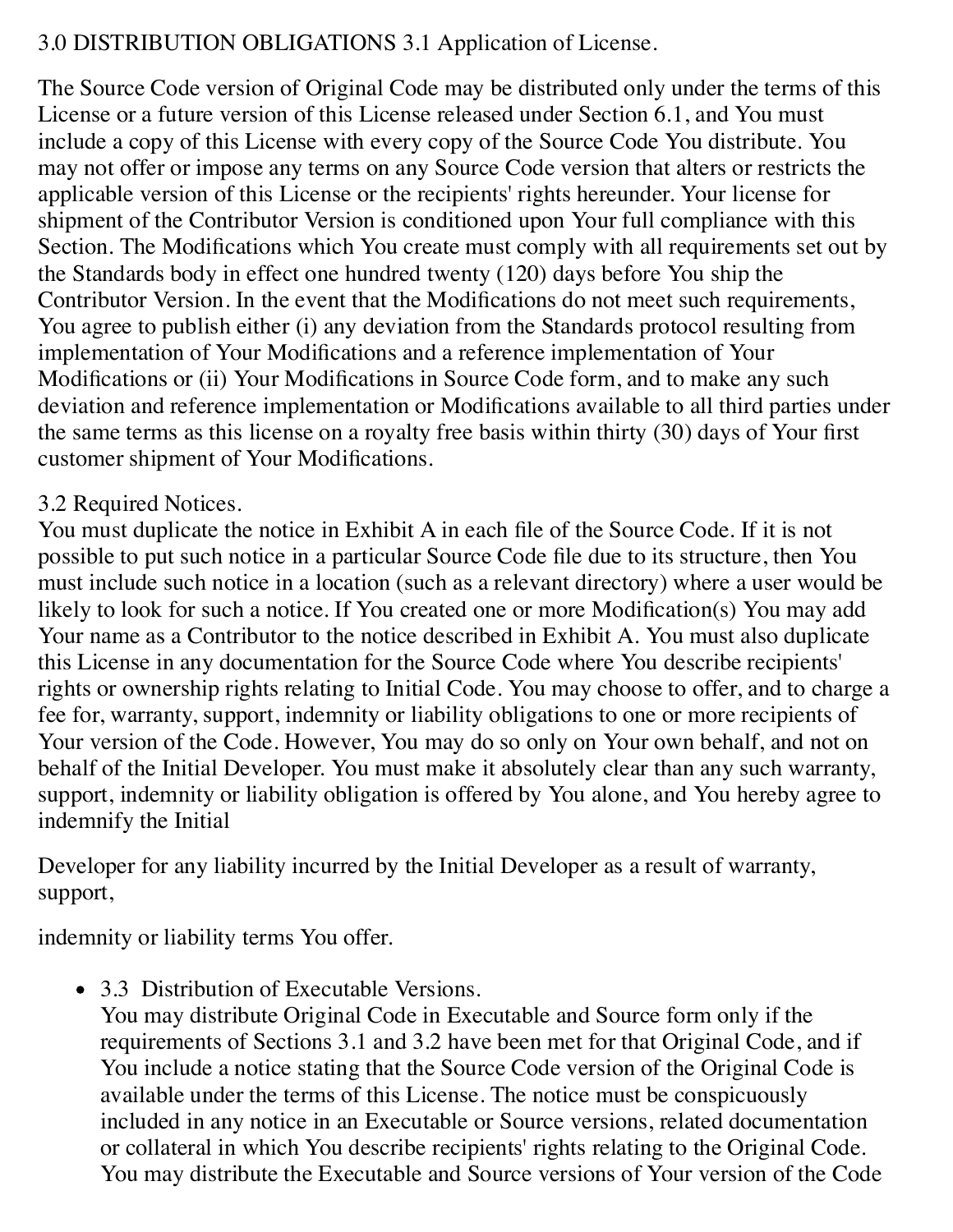### 3.0 DISTRIBUTION OBLIGATIONS 3.1 Application of License.

The Source Code version of Original Code may be distributed only under the terms of this License or a future version of this License released under Section 6.1, and You must include a copy of this License with every copy of the Source Code You distribute. You may not offer or impose any terms on any Source Code version that alters or restricts the applicable version of this License or the recipients' rights hereunder. Your license for shipment of the Contributor Version is conditioned upon Your full compliance with this Section. The Modifications which You create must comply with all requirements set out by the Standards body in effect one hundred twenty (120) days before You ship the Contributor Version. In the event that the Modifications do not meet such requirements, You agree to publish either (i) any deviation from the Standards protocol resulting from implementation of Your Modifications and a reference implementation of Your Modifications or (ii) Your Modifications in Source Code form, and to make any such deviation and reference implementation or Modifications available to all third parties under the same terms as this license on a royalty free basis within thirty (30) days of Your first customer shipment of Your Modifications.

### 3.2 Required Notices.

You must duplicate the notice in Exhibit A in each file of the Source Code. If it is not possible to put such notice in a particular Source Code file due to its structure, then You must include such notice in a location (such as a relevant directory) where a user would be likely to look for such a notice. If You created one or more Modification(s) You may add Your name as a Contributor to the notice described in Exhibit A. You must also duplicate this License in any documentation for the Source Code where You describe recipients' rights or ownership rights relating to Initial Code. You may choose to offer, and to charge a fee for, warranty, support, indemnity or liability obligations to one or more recipients of Your version of the Code. However, You may do so only on Your own behalf, and not on behalf of the Initial Developer. You must make it absolutely clear than any such warranty, support, indemnity or liability obligation is offered by You alone, and You hereby agree to indemnify the Initial

Developer for any liability incurred by the Initial Developer as a result of warranty, support,

indemnity or liability terms You offer.

• 3.3 Distribution of Executable Versions.

You may distribute Original Code in Executable and Source form only if the requirements of Sections 3.1 and 3.2 have been met for that Original Code, and if You include a notice stating that the Source Code version of the Original Code is available under the terms of this License. The notice must be conspicuously included in any notice in an Executable or Source versions, related documentation or collateral in which You describe recipients' rights relating to the Original Code. You may distribute the Executable and Source versions of Your version of the Code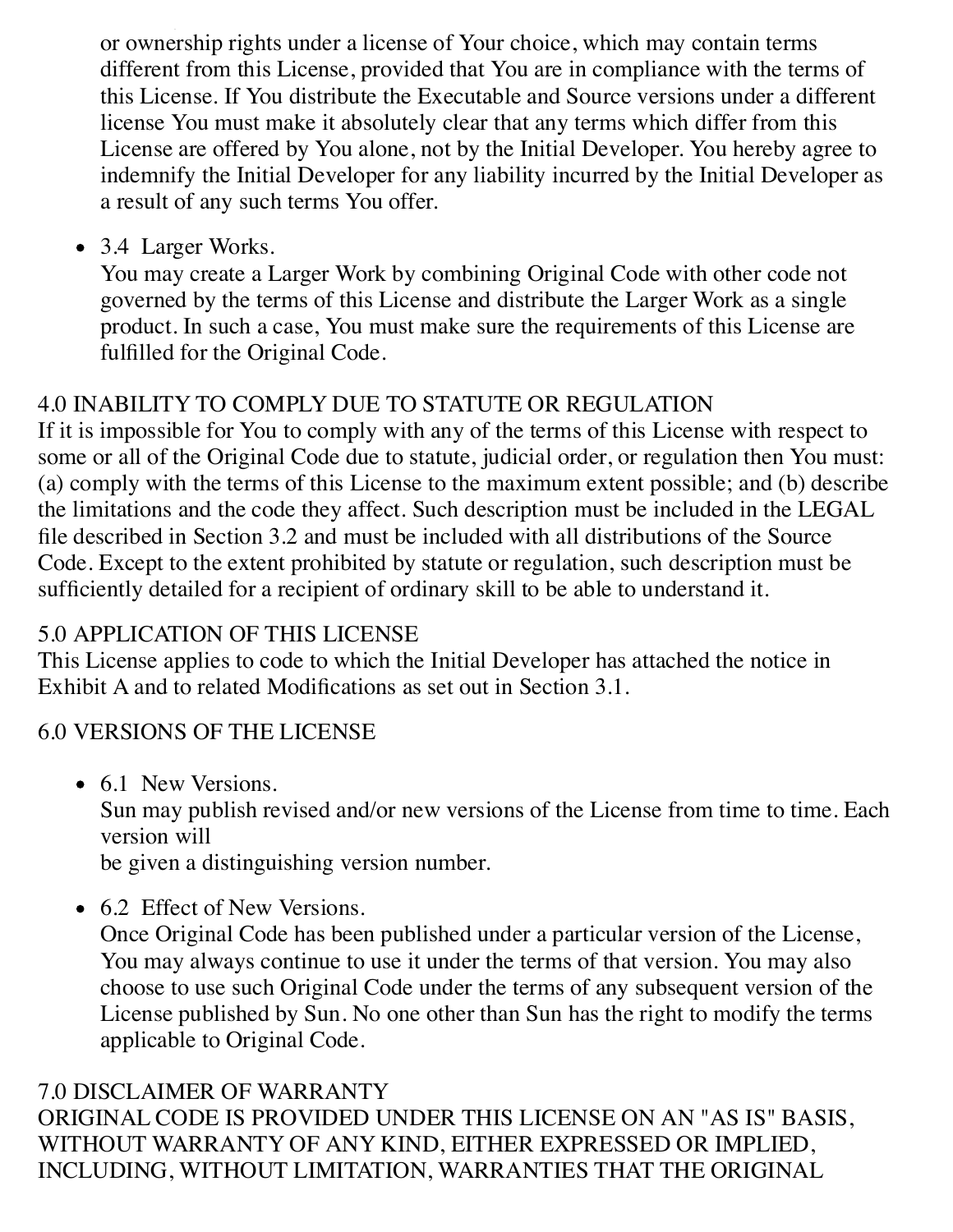You may distribute the Executable and Source versions of Your version of the Code or ownership rights under a license of Your choice, which may contain terms different from this License, provided that You are in compliance with the terms of this License. If You distribute the Executable and Source versions under a different license You must make it absolutely clear that any terms which differ from this License are offered by You alone, not by the Initial Developer. You hereby agree to indemnify the Initial Developer for any liability incurred by the Initial Developer as a result of any such terms You offer.

• 3.4 Larger Works.

You may create a Larger Work by combining Original Code with other code not governed by the terms of this License and distribute the Larger Work as a single product. In such a case, You must make sure the requirements of this License are fulfilled for the Original Code.

## 4.0 INABILITY TO COMPLY DUE TO STATUTE OR REGULATION

If it is impossible for You to comply with any of the terms of this License with respect to some or all of the Original Code due to statute, judicial order, or regulation then You must: (a) comply with the terms of this License to the maximum extent possible; and (b) describe the limitations and the code they affect. Such description must be included in the LEGAL file described in Section 3.2 and must be included with all distributions of the Source Code. Except to the extent prohibited by statute or regulation, such description must be sufficiently detailed for a recipient of ordinary skill to be able to understand it.

## 5.0 APPLICATION OF THIS LICENSE

This License applies to code to which the Initial Developer has attached the notice in Exhibit A and to related Modifications as set out in Section 3.1.

# 6.0 VERSIONS OF THE LICENSE

• 6.1 New Versions.

Sun may publish revised and/or new versions of the License from time to time. Each version will

be given a distinguishing version number.

• 6.2 Effect of New Versions.

Once Original Code has been published under a particular version of the License, You may always continue to use it under the terms of that version. You may also choose to use such Original Code under the terms of any subsequent version of the License published by Sun. No one other than Sun has the right to modify the terms applicable to Original Code.

## 7.0 DISCLAIMER OF WARRANTY

ORIGINAL CODE IS PROVIDED UNDER THIS LICENSE ON AN "AS IS" BASIS, WITHOUT WARRANTY OF ANY KIND, EITHER EXPRESSED OR IMPLIED, INCLUDING, WITHOUT LIMITATION, WARRANTIES THAT THE ORIGINAL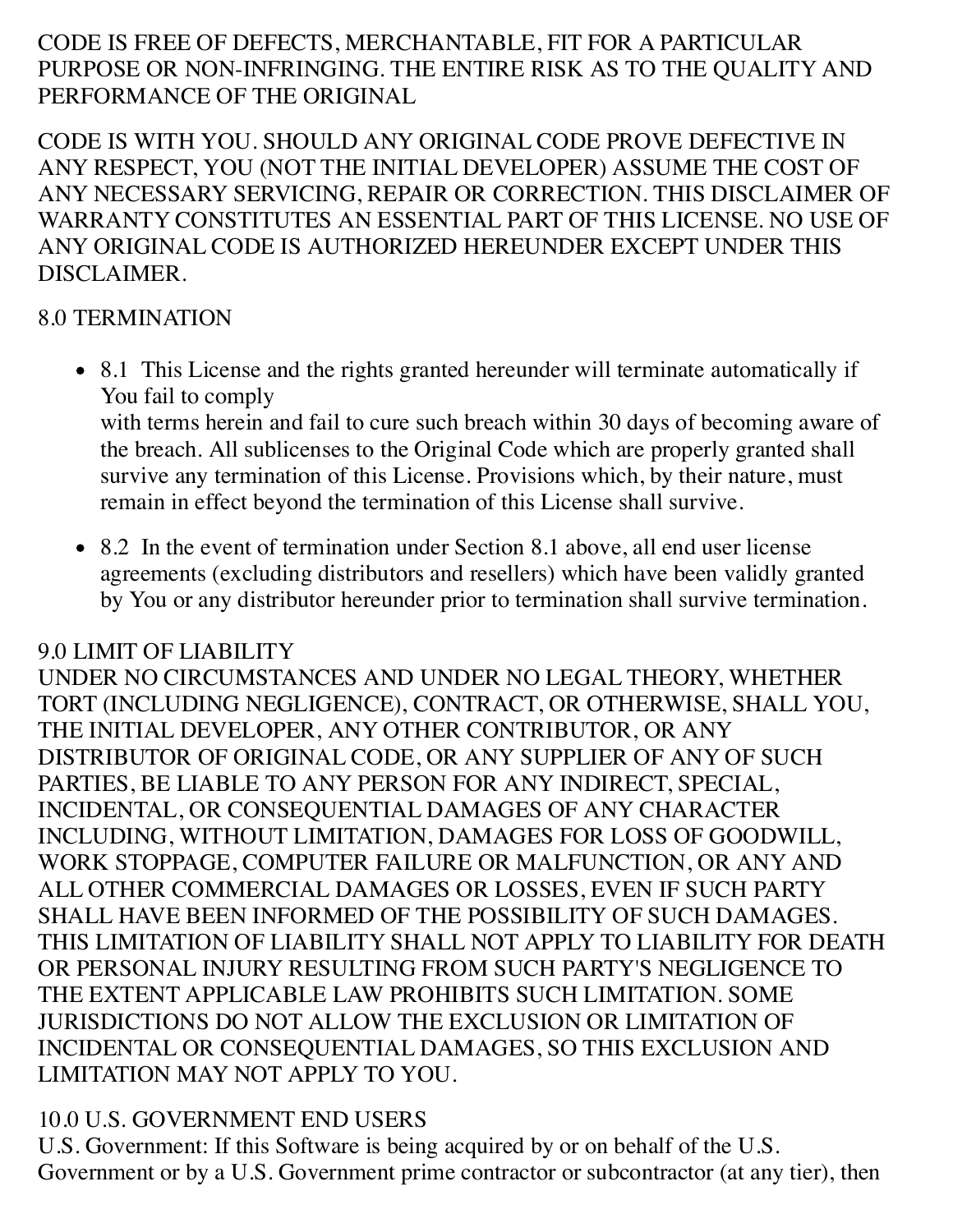### CODE IS FREE OF DEFECTS, MERCHANTABLE, FIT FOR A PARTICULAR PURPOSE OR NON-INFRINGING. THE ENTIRE RISK AS TO THE QUALITY AND PERFORMANCE OF THE ORIGINAL

CODE IS WITH YOU. SHOULD ANY ORIGINAL CODE PROVE DEFECTIVE IN ANY RESPECT, YOU (NOT THE INITIAL DEVELOPER) ASSUME THE COST OF ANY NECESSARY SERVICING, REPAIR OR CORRECTION. THIS DISCLAIMER OF WARRANTY CONSTITUTES AN ESSENTIAL PART OF THIS LICENSE. NO USE OF ANY ORIGINAL CODE IS AUTHORIZED HEREUNDER EXCEPT UNDER THIS DISCLAIMER.

### 8.0 TERMINATION

• 8.1 This License and the rights granted hereunder will terminate automatically if You fail to comply

with terms herein and fail to cure such breach within 30 days of becoming aware of the breach. All sublicenses to the Original Code which are properly granted shall survive any termination of this License. Provisions which, by their nature, must remain in effect beyond the termination of this License shall survive.

• 8.2 In the event of termination under Section 8.1 above, all end user license agreements (excluding distributors and resellers) which have been validly granted by You or any distributor hereunder prior to termination shall survive termination.

## 9.0 LIMIT OF LIABILITY

UNDER NO CIRCUMSTANCES AND UNDER NO LEGAL THEORY, WHETHER TORT (INCLUDING NEGLIGENCE), CONTRACT, OR OTHERWISE, SHALL YOU, THE INITIAL DEVELOPER, ANY OTHER CONTRIBUTOR, OR ANY DISTRIBUTOR OF ORIGINAL CODE, OR ANY SUPPLIER OF ANY OF SUCH PARTIES, BE LIABLE TO ANY PERSON FOR ANY INDIRECT, SPECIAL, INCIDENTAL, OR CONSEQUENTIAL DAMAGES OF ANY CHARACTER INCLUDING, WITHOUT LIMITATION, DAMAGES FOR LOSS OF GOODWILL, WORK STOPPAGE, COMPUTER FAILURE OR MALFUNCTION, OR ANY AND ALL OTHER COMMERCIAL DAMAGES OR LOSSES, EVEN IF SUCH PARTY SHALL HAVE BEEN INFORMED OF THE POSSIBILITY OF SUCH DAMAGES. THIS LIMITATION OF LIABILITY SHALL NOT APPLY TO LIABILITY FOR DEATH OR PERSONAL INJURY RESULTING FROM SUCH PARTY'S NEGLIGENCE TO THE EXTENT APPLICABLE LAW PROHIBITS SUCH LIMITATION. SOME JURISDICTIONS DO NOT ALLOW THE EXCLUSION OR LIMITATION OF INCIDENTAL OR CONSEQUENTIAL DAMAGES, SO THIS EXCLUSION AND LIMITATION MAY NOT APPLY TO YOU.

## 10.0 U.S. GOVERNMENT END USERS

U.S. Government: If this Software is being acquired by or on behalf of the U.S. Government or by a U.S. Government prime contractor or subcontractor (at any tier), then